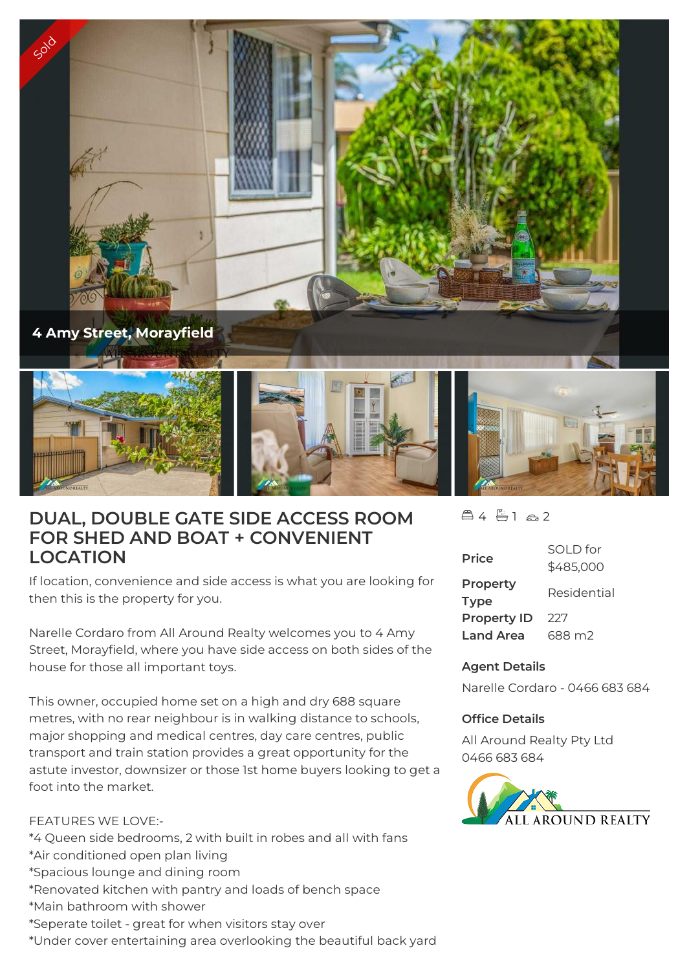

## **DUAL, DOUBLE GATE SIDE ACCESS ROOM FOR SHED AND BOAT + CONVENIENT LOCATION**

If location, convenience and side access is what you are looking for then this is the property for you.

Narelle Cordaro from All Around Realty welcomes you to 4 Amy Street, Morayfield, where you have side access on both sides of the house for those all important toys.

This owner, occupied home set on a high and dry 688 square metres, with no rear neighbour is in walking distance to schools, major shopping and medical centres, day care centres, public transport and train station provides a great opportunity for the astute investor, downsizer or those 1st home buyers looking to get a foot into the market.

## FEATURES WE LOVE:-

- \*4 Queen side bedrooms, 2 with built in robes and all with fans
- \*Air conditioned open plan living
- \*Spacious lounge and dining room
- \*Renovated kitchen with pantry and loads of bench space
- \*Main bathroom with shower
- \*Seperate toilet great for when visitors stay over
- \*Under cover entertaining area overlooking the beautiful back yard

 $451a2$ 

| <b>Price</b>            | SOI D for<br>\$485,000 |
|-------------------------|------------------------|
| Property<br><b>Type</b> | Residential            |
| <b>Property ID</b>      | 227                    |
| <b>Land Area</b>        | 688 m2                 |

## **Agent Details**

Narelle Cordaro - 0466 683 684

## **Office Details**

All Around Realty Pty Ltd 0466 683 684